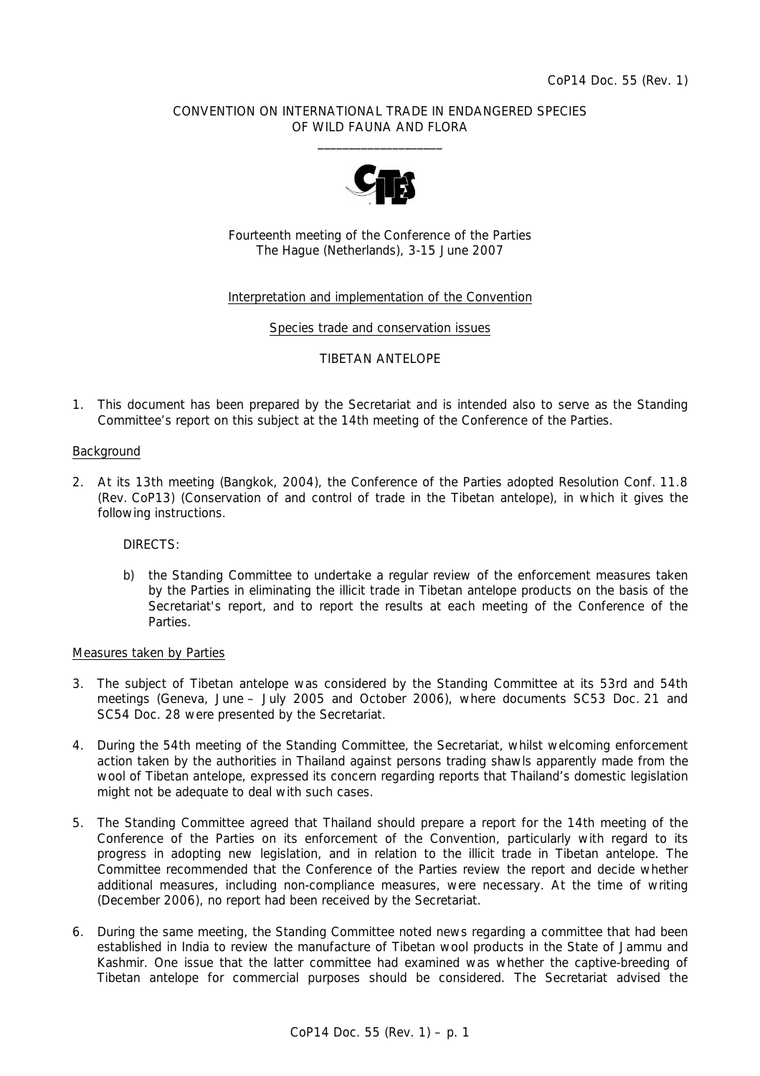## CONVENTION ON INTERNATIONAL TRADE IN ENDANGERED SPECIES OF WILD FAUNA AND FLORA  $\frac{1}{2}$  , and the set of the set of the set of the set of the set of the set of the set of the set of the set of the set of the set of the set of the set of the set of the set of the set of the set of the set of the set



Fourteenth meeting of the Conference of the Parties The Hague (Netherlands), 3-15 June 2007

## Interpretation and implementation of the Convention

Species trade and conservation issues

### TIBETAN ANTELOPE

1. This document has been prepared by the Secretariat and is intended also to serve as the Standing Committee's report on this subject at the 14th meeting of the Conference of the Parties.

#### Background

2. At its 13th meeting (Bangkok, 2004), the Conference of the Parties adopted Resolution Conf. 11.8 (Rev. CoP13) (Conservation of and control of trade in the Tibetan antelope), in which it gives the following instructions.

 *DIRECTS:* 

 *b) the Standing Committee to undertake a regular review of the enforcement measures taken by the Parties in eliminating the illicit trade in Tibetan antelope products on the basis of the Secretariat's report, and to report the results at each meeting of the Conference of the Parties.* 

#### Measures taken by Parties

- 3. The subject of Tibetan antelope was considered by the Standing Committee at its 53rd and 54th meetings (Geneva, June – July 2005 and October 2006), where documents SC53 Doc. 21 and SC54 Doc. 28 were presented by the Secretariat.
- 4. During the 54th meeting of the Standing Committee, the Secretariat, whilst welcoming enforcement action taken by the authorities in Thailand against persons trading shawls apparently made from the wool of Tibetan antelope, expressed its concern regarding reports that Thailand's domestic legislation might not be adequate to deal with such cases.
- 5. The Standing Committee agreed that Thailand should prepare a report for the 14th meeting of the Conference of the Parties on its enforcement of the Convention, particularly with regard to its progress in adopting new legislation, and in relation to the illicit trade in Tibetan antelope. The Committee recommended that the Conference of the Parties review the report and decide whether additional measures, including non-compliance measures, were necessary. At the time of writing (December 2006), no report had been received by the Secretariat.
- 6. During the same meeting, the Standing Committee noted news regarding a committee that had been established in India to review the manufacture of Tibetan wool products in the State of Jammu and Kashmir. One issue that the latter committee had examined was whether the captive-breeding of Tibetan antelope for commercial purposes should be considered. The Secretariat advised the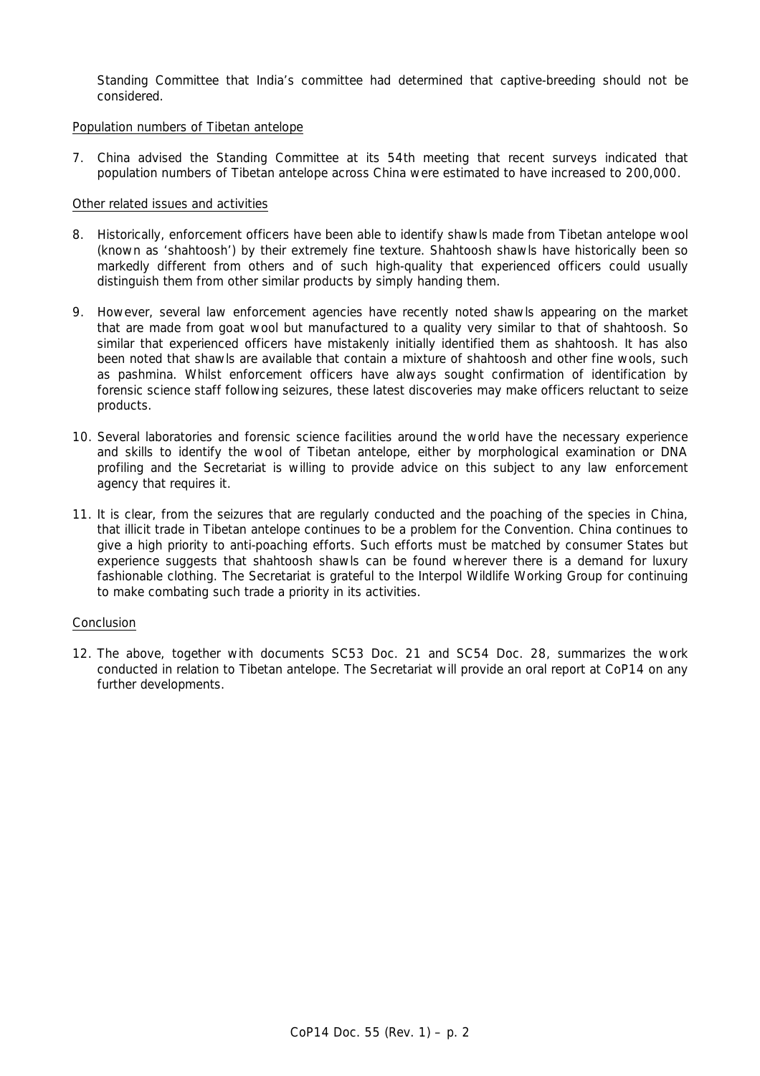Standing Committee that India's committee had determined that captive-breeding should not be considered.

## Population numbers of Tibetan antelope

7. China advised the Standing Committee at its 54th meeting that recent surveys indicated that population numbers of Tibetan antelope across China were estimated to have increased to 200,000.

## Other related issues and activities

- 8. Historically, enforcement officers have been able to identify shawls made from Tibetan antelope wool (known as 'shahtoosh') by their extremely fine texture. Shahtoosh shawls have historically been so markedly different from others and of such high-quality that experienced officers could usually distinguish them from other similar products by simply handing them.
- 9. However, several law enforcement agencies have recently noted shawls appearing on the market that are made from goat wool but manufactured to a quality very similar to that of shahtoosh. So similar that experienced officers have mistakenly initially identified them as shahtoosh. It has also been noted that shawls are available that contain a mixture of shahtoosh and other fine wools, such as pashmina. Whilst enforcement officers have always sought confirmation of identification by forensic science staff following seizures, these latest discoveries may make officers reluctant to seize products.
- 10. Several laboratories and forensic science facilities around the world have the necessary experience and skills to identify the wool of Tibetan antelope, either by morphological examination or DNA profiling and the Secretariat is willing to provide advice on this subject to any law enforcement agency that requires it.
- 11. It is clear, from the seizures that are regularly conducted and the poaching of the species in China, that illicit trade in Tibetan antelope continues to be a problem for the Convention. China continues to give a high priority to anti-poaching efforts. Such efforts must be matched by consumer States but experience suggests that shahtoosh shawls can be found wherever there is a demand for luxury fashionable clothing. The Secretariat is grateful to the Interpol Wildlife Working Group for continuing to make combating such trade a priority in its activities.

#### Conclusion

12. The above, together with documents SC53 Doc. 21 and SC54 Doc. 28, summarizes the work conducted in relation to Tibetan antelope. The Secretariat will provide an oral report at CoP14 on any further developments.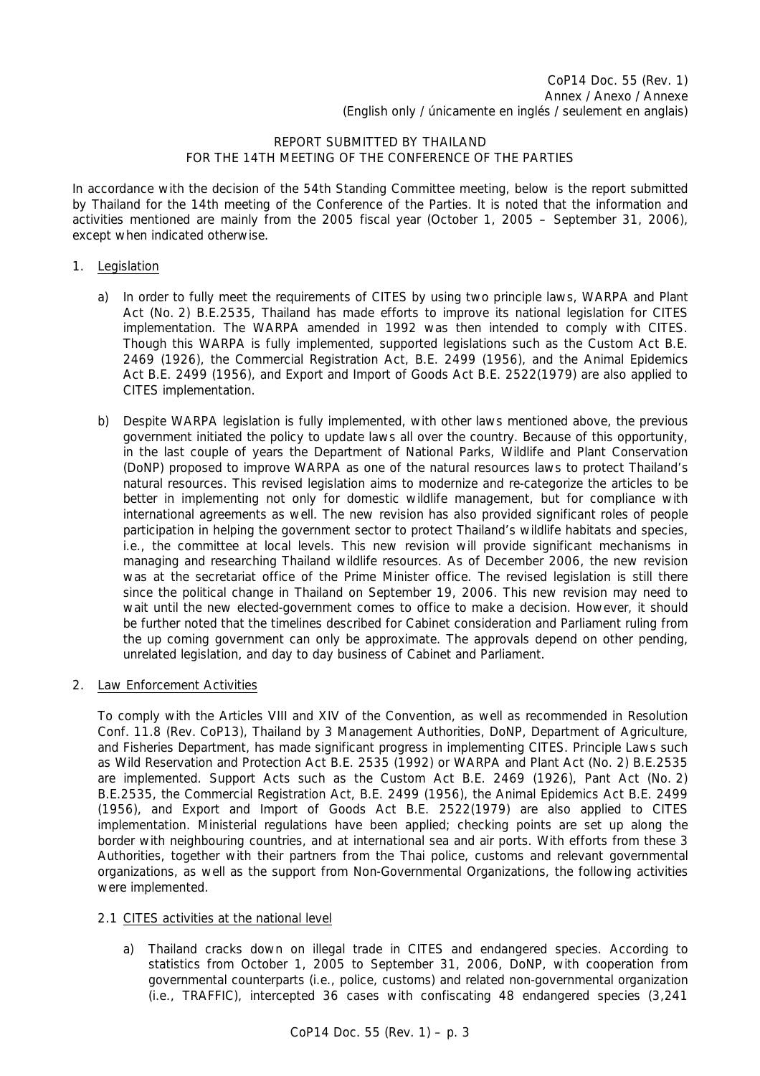# REPORT SUBMITTED BY THAILAND FOR THE 14TH MEETING OF THE CONFERENCE OF THE PARTIES

In accordance with the decision of the 54th Standing Committee meeting, below is the report submitted by Thailand for the 14th meeting of the Conference of the Parties. It is noted that the information and activities mentioned are mainly from the 2005 fiscal year (October 1, 2005 – September 31, 2006), except when indicated otherwise.

# 1. Legislation

- a) In order to fully meet the requirements of CITES by using two principle laws, WARPA and Plant Act (No. 2) B.E.2535, Thailand has made efforts to improve its national legislation for CITES implementation. The WARPA amended in 1992 was then intended to comply with CITES. Though this WARPA is fully implemented, supported legislations such as the Custom Act B.E. 2469 (1926), the Commercial Registration Act, B.E. 2499 (1956), and the Animal Epidemics Act B.E. 2499 (1956), and Export and Import of Goods Act B.E. 2522(1979) are also applied to CITES implementation.
- b) Despite WARPA legislation is fully implemented, with other laws mentioned above, the previous government initiated the policy to update laws all over the country. Because of this opportunity, in the last couple of years the Department of National Parks, Wildlife and Plant Conservation (DoNP) proposed to improve WARPA as one of the natural resources laws to protect Thailand's natural resources. This revised legislation aims to modernize and re-categorize the articles to be better in implementing not only for domestic wildlife management, but for compliance with international agreements as well. The new revision has also provided significant roles of people participation in helping the government sector to protect Thailand's wildlife habitats and species, i.e., the committee at local levels. This new revision will provide significant mechanisms in managing and researching Thailand wildlife resources. As of December 2006, the new revision was at the secretariat office of the Prime Minister office. The revised legislation is still there since the political change in Thailand on September 19, 2006. This new revision may need to wait until the new elected-government comes to office to make a decision. However, it should be further noted that the timelines described for Cabinet consideration and Parliament ruling from the up coming government can only be approximate. The approvals depend on other pending, unrelated legislation, and day to day business of Cabinet and Parliament.
- 2. Law Enforcement Activities

 To comply with the Articles VIII and XIV of the Convention, as well as recommended in Resolution Conf. 11.8 (Rev. CoP13), Thailand by 3 Management Authorities, DoNP, Department of Agriculture, and Fisheries Department, has made significant progress in implementing CITES. Principle Laws such as Wild Reservation and Protection Act B.E. 2535 (1992) or WARPA and Plant Act (No. 2) B.E.2535 are implemented. Support Acts such as the Custom Act B.E. 2469 (1926), Pant Act (No. 2) B.E.2535, the Commercial Registration Act, B.E. 2499 (1956), the Animal Epidemics Act B.E. 2499 (1956), and Export and Import of Goods Act B.E. 2522(1979) are also applied to CITES implementation. Ministerial regulations have been applied; checking points are set up along the border with neighbouring countries, and at international sea and air ports. With efforts from these 3 Authorities, together with their partners from the Thai police, customs and relevant governmental organizations, as well as the support from Non-Governmental Organizations, the following activities were implemented.

- 2.1 CITES activities at the national level
	- a) Thailand cracks down on illegal trade in CITES and endangered species. According to statistics from October 1, 2005 to September 31, 2006, DoNP, with cooperation from governmental counterparts (i.e., police, customs) and related non-governmental organization (i.e., TRAFFIC), intercepted 36 cases with confiscating 48 endangered species (3,241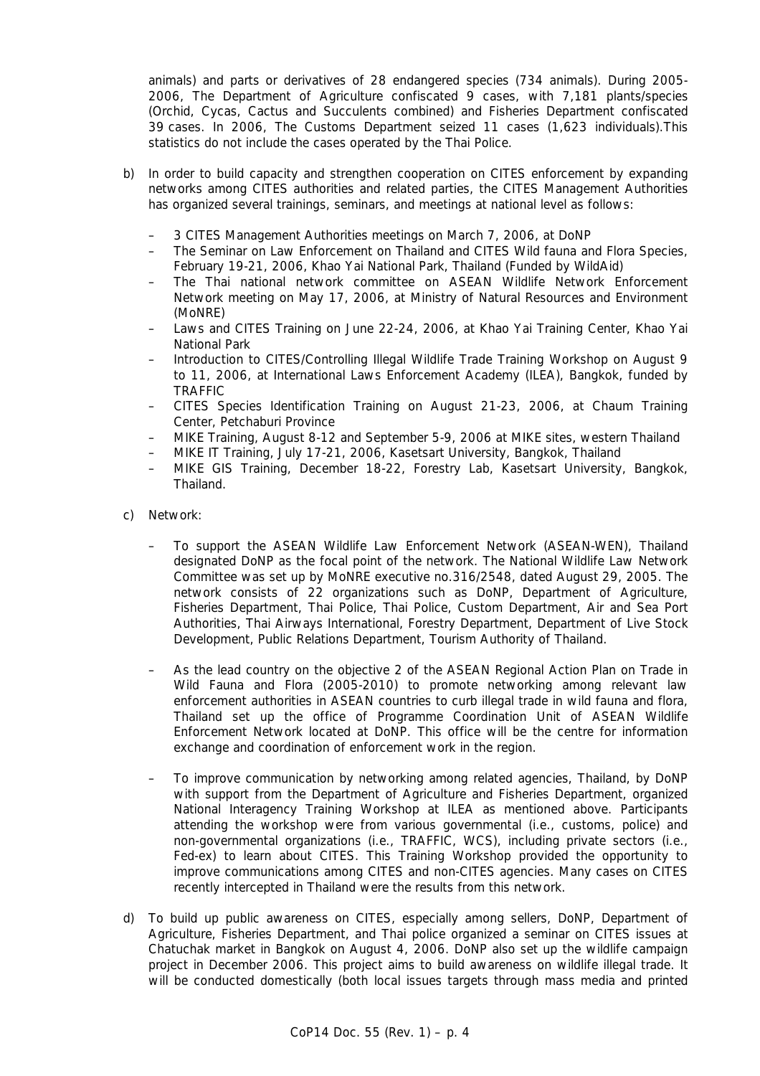animals) and parts or derivatives of 28 endangered species (734 animals). During 2005- 2006, The Department of Agriculture confiscated 9 cases, with 7,181 plants/species (Orchid, Cycas, Cactus and Succulents combined) and Fisheries Department confiscated 39 cases. In 2006, The Customs Department seized 11 cases (1,623 individuals).This statistics do not include the cases operated by the Thai Police.

- b) In order to build capacity and strengthen cooperation on CITES enforcement by expanding networks among CITES authorities and related parties, the CITES Management Authorities has organized several trainings, seminars, and meetings at national level as follows:
	- 3 CITES Management Authorities meetings on March 7, 2006, at DoNP
	- The Seminar on Law Enforcement on Thailand and CITES Wild fauna and Flora Species, February 19-21, 2006, Khao Yai National Park, Thailand (Funded by WildAid)
	- The Thai national network committee on ASEAN Wildlife Network Enforcement Network meeting on May 17, 2006, at Ministry of Natural Resources and Environment (MoNRE)
	- Laws and CITES Training on June 22-24, 2006, at Khao Yai Training Center, Khao Yai National Park
	- Introduction to CITES/Controlling Illegal Wildlife Trade Training Workshop on August 9 to 11, 2006, at International Laws Enforcement Academy (ILEA), Bangkok, funded by TRAFFIC
	- CITES Species Identification Training on August 21-23, 2006, at Chaum Training Center, Petchaburi Province
	- MIKE Training, August 8-12 and September 5-9, 2006 at MIKE sites, western Thailand
	- MIKE IT Training, July 17-21, 2006, Kasetsart University, Bangkok, Thailand
	- MIKE GIS Training, December 18-22, Forestry Lab, Kasetsart University, Bangkok, Thailand.
- c) Network:
	- To support the ASEAN Wildlife Law Enforcement Network (ASEAN-WEN), Thailand designated DoNP as the focal point of the network. The National Wildlife Law Network Committee was set up by MoNRE executive no.316/2548, dated August 29, 2005. The network consists of 22 organizations such as DoNP, Department of Agriculture, Fisheries Department, Thai Police, Thai Police, Custom Department, Air and Sea Port Authorities, Thai Airways International, Forestry Department, Department of Live Stock Development, Public Relations Department, Tourism Authority of Thailand.
	- As the lead country on the objective 2 of the ASEAN Regional Action Plan on Trade in Wild Fauna and Flora (2005-2010) to promote networking among relevant law enforcement authorities in ASEAN countries to curb illegal trade in wild fauna and flora, Thailand set up the office of Programme Coordination Unit of ASEAN Wildlife Enforcement Network located at DoNP. This office will be the centre for information exchange and coordination of enforcement work in the region.
	- To improve communication by networking among related agencies, Thailand, by DoNP with support from the Department of Agriculture and Fisheries Department, organized National Interagency Training Workshop at ILEA as mentioned above. Participants attending the workshop were from various governmental (i.e., customs, police) and non-governmental organizations (i.e., TRAFFIC, WCS), including private sectors (i.e., Fed-ex) to learn about CITES. This Training Workshop provided the opportunity to improve communications among CITES and non-CITES agencies. Many cases on CITES recently intercepted in Thailand were the results from this network.
- d) To build up public awareness on CITES, especially among sellers, DoNP, Department of Agriculture, Fisheries Department, and Thai police organized a seminar on CITES issues at Chatuchak market in Bangkok on August 4, 2006. DoNP also set up the wildlife campaign project in December 2006. This project aims to build awareness on wildlife illegal trade. It will be conducted domestically (both local issues targets through mass media and printed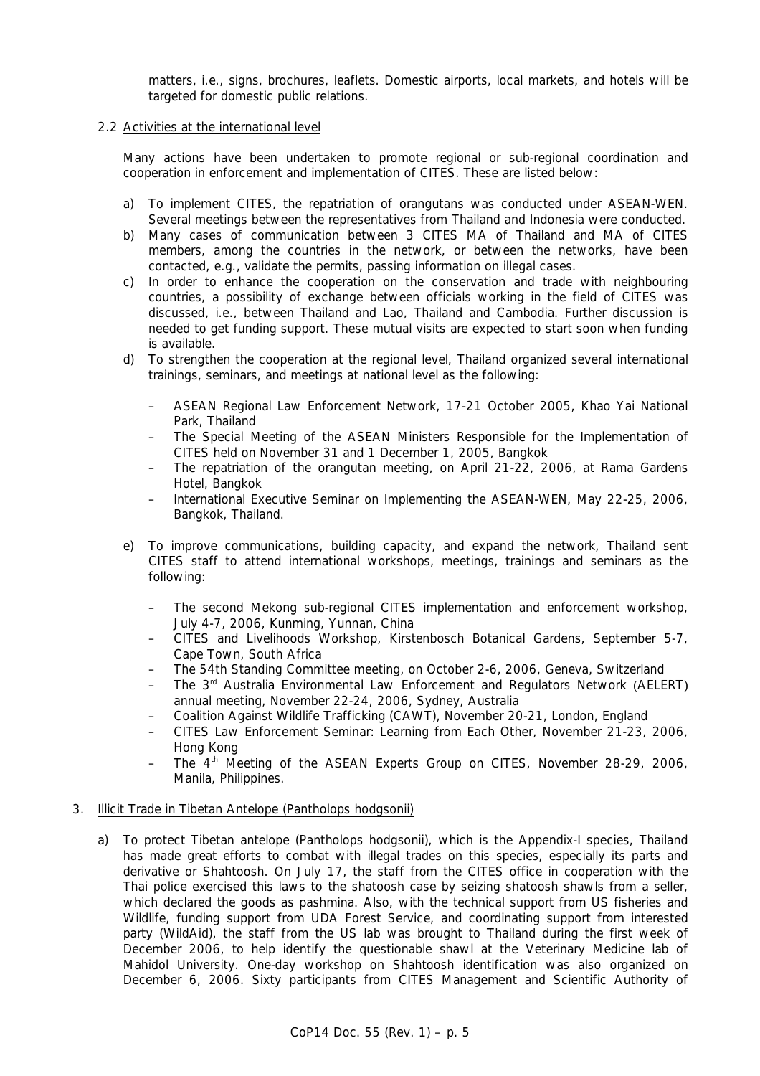matters, i.e., signs, brochures, leaflets. Domestic airports, local markets, and hotels will be targeted for domestic public relations.

## 2.2 Activities at the international level

 Many actions have been undertaken to promote regional or sub-regional coordination and cooperation in enforcement and implementation of CITES. These are listed below:

- a) To implement CITES, the repatriation of orangutans was conducted under ASEAN-WEN. Several meetings between the representatives from Thailand and Indonesia were conducted.
- b) Many cases of communication between 3 CITES MA of Thailand and MA of CITES members, among the countries in the network, or between the networks, have been contacted, e.g., validate the permits, passing information on illegal cases.
- c) In order to enhance the cooperation on the conservation and trade with neighbouring countries, a possibility of exchange between officials working in the field of CITES was discussed, i.e., between Thailand and Lao, Thailand and Cambodia. Further discussion is needed to get funding support. These mutual visits are expected to start soon when funding is available.
- d) To strengthen the cooperation at the regional level, Thailand organized several international trainings, seminars, and meetings at national level as the following:
	- ASEAN Regional Law Enforcement Network, 17-21 October 2005, Khao Yai National Park, Thailand
	- The Special Meeting of the ASEAN Ministers Responsible for the Implementation of CITES held on November 31 and 1 December 1, 2005, Bangkok
	- The repatriation of the orangutan meeting, on April 21-22, 2006, at Rama Gardens Hotel, Bangkok
	- International Executive Seminar on Implementing the ASEAN-WEN, May 22-25, 2006, Bangkok, Thailand.
- e) To improve communications, building capacity, and expand the network, Thailand sent CITES staff to attend international workshops, meetings, trainings and seminars as the following:
	- The second Mekong sub-regional CITES implementation and enforcement workshop, July 4-7, 2006, Kunming, Yunnan, China
	- CITES and Livelihoods Workshop, Kirstenbosch Botanical Gardens, September 5-7, Cape Town, South Africa
	- The 54th Standing Committee meeting, on October 2-6, 2006, Geneva, Switzerland
	- The 3rd Australia Environmental Law Enforcement and Regulators Network (AELERT) annual meeting, November 22-24, 2006, Sydney, Australia
	- Coalition Against Wildlife Trafficking (CAWT), November 20-21, London, England
	- CITES Law Enforcement Seminar: Learning from Each Other, November 21-23, 2006, Hong Kong
	- The 4th Meeting of the ASEAN Experts Group on CITES, November 28-29, 2006, Manila, Philippines.

#### 3. Illicit Trade in Tibetan Antelope (*Pantholops hodgsonii*)

 a) To protect Tibetan antelope *(Pantholops hodgsonii)*, which is the Appendix-I species, Thailand has made great efforts to combat with illegal trades on this species, especially its parts and derivative or Shahtoosh. On July 17, the staff from the CITES office in cooperation with the Thai police exercised this laws to the shatoosh case by seizing shatoosh shawls from a seller, which declared the goods as pashmina. Also, with the technical support from US fisheries and Wildlife, funding support from UDA Forest Service, and coordinating support from interested party (WildAid), the staff from the US lab was brought to Thailand during the first week of December 2006, to help identify the questionable shawl at the Veterinary Medicine lab of Mahidol University. One-day workshop on Shahtoosh identification was also organized on December 6, 2006. Sixty participants from CITES Management and Scientific Authority of